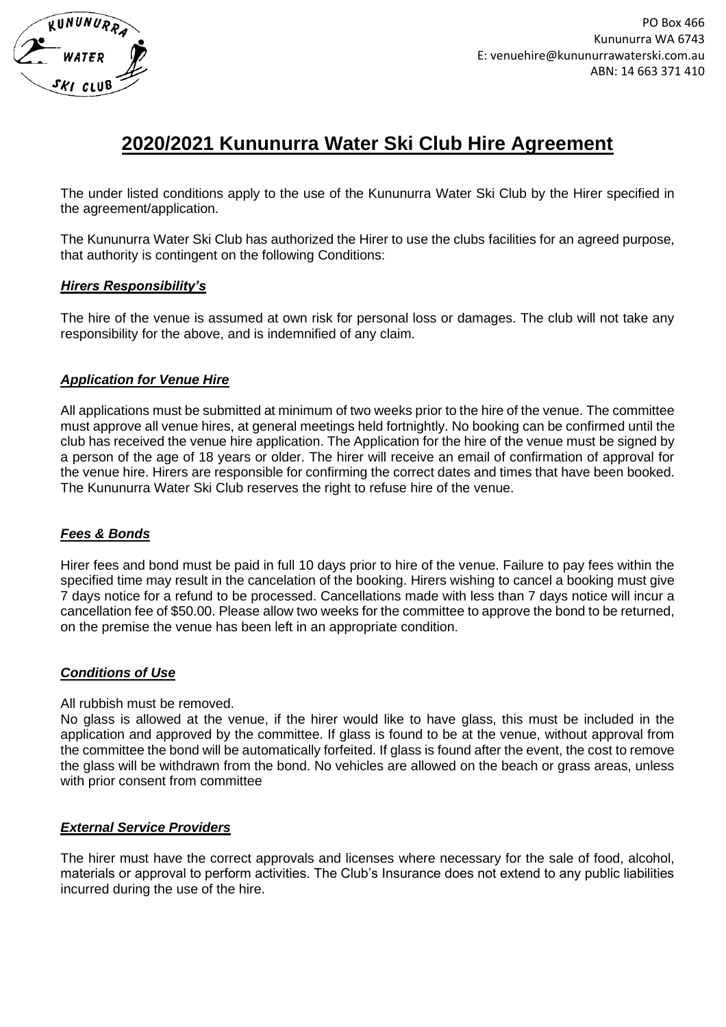

# **2020/2021 Kununurra Water Ski Club Hire Agreement**

The under listed conditions apply to the use of the Kununurra Water Ski Club by the Hirer specified in the agreement/application.

The Kununurra Water Ski Club has authorized the Hirer to use the clubs facilities for an agreed purpose, that authority is contingent on the following Conditions:

#### *Hirers Responsibility's*

The hire of the venue is assumed at own risk for personal loss or damages. The club will not take any responsibility for the above, and is indemnified of any claim.

#### *Application for Venue Hire*

All applications must be submitted at minimum of two weeks prior to the hire of the venue. The committee must approve all venue hires, at general meetings held fortnightly. No booking can be confirmed until the club has received the venue hire application. The Application for the hire of the venue must be signed by a person of the age of 18 years or older. The hirer will receive an email of confirmation of approval for the venue hire. Hirers are responsible for confirming the correct dates and times that have been booked. The Kununurra Water Ski Club reserves the right to refuse hire of the venue.

## *Fees & Bonds*

Hirer fees and bond must be paid in full 10 days prior to hire of the venue. Failure to pay fees within the specified time may result in the cancelation of the booking. Hirers wishing to cancel a booking must give 7 days notice for a refund to be processed. Cancellations made with less than 7 days notice will incur a cancellation fee of \$50.00. Please allow two weeks for the committee to approve the bond to be returned, on the premise the venue has been left in an appropriate condition.

## *Conditions of Use*

All rubbish must be removed.

No glass is allowed at the venue, if the hirer would like to have glass, this must be included in the application and approved by the committee. If glass is found to be at the venue, without approval from the committee the bond will be automatically forfeited. If glass is found after the event, the cost to remove the glass will be withdrawn from the bond. No vehicles are allowed on the beach or grass areas, unless with prior consent from committee

## *External Service Providers*

The hirer must have the correct approvals and licenses where necessary for the sale of food, alcohol, materials or approval to perform activities. The Club's Insurance does not extend to any public liabilities incurred during the use of the hire.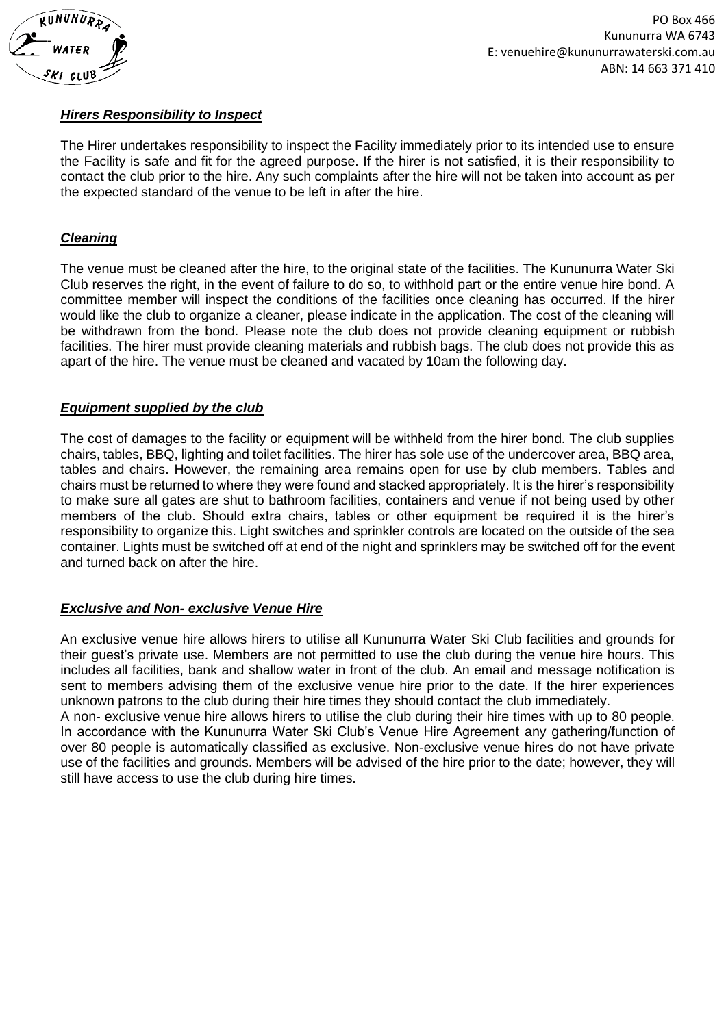

## *Hirers Responsibility to Inspect*

The Hirer undertakes responsibility to inspect the Facility immediately prior to its intended use to ensure the Facility is safe and fit for the agreed purpose. If the hirer is not satisfied, it is their responsibility to contact the club prior to the hire. Any such complaints after the hire will not be taken into account as per the expected standard of the venue to be left in after the hire.

## *Cleaning*

The venue must be cleaned after the hire, to the original state of the facilities. The Kununurra Water Ski Club reserves the right, in the event of failure to do so, to withhold part or the entire venue hire bond. A committee member will inspect the conditions of the facilities once cleaning has occurred. If the hirer would like the club to organize a cleaner, please indicate in the application. The cost of the cleaning will be withdrawn from the bond. Please note the club does not provide cleaning equipment or rubbish facilities. The hirer must provide cleaning materials and rubbish bags. The club does not provide this as apart of the hire. The venue must be cleaned and vacated by 10am the following day.

## *Equipment supplied by the club*

The cost of damages to the facility or equipment will be withheld from the hirer bond. The club supplies chairs, tables, BBQ, lighting and toilet facilities. The hirer has sole use of the undercover area, BBQ area, tables and chairs. However, the remaining area remains open for use by club members. Tables and chairs must be returned to where they were found and stacked appropriately. It is the hirer's responsibility to make sure all gates are shut to bathroom facilities, containers and venue if not being used by other members of the club. Should extra chairs, tables or other equipment be required it is the hirer's responsibility to organize this. Light switches and sprinkler controls are located on the outside of the sea container. Lights must be switched off at end of the night and sprinklers may be switched off for the event and turned back on after the hire.

## *Exclusive and Non- exclusive Venue Hire*

still have access to use the club during hire times.

An exclusive venue hire allows hirers to utilise all Kununurra Water Ski Club facilities and grounds for their guest's private use. Members are not permitted to use the club during the venue hire hours. This includes all facilities, bank and shallow water in front of the club. An email and message notification is sent to members advising them of the exclusive venue hire prior to the date. If the hirer experiences unknown patrons to the club during their hire times they should contact the club immediately. A non- exclusive venue hire allows hirers to utilise the club during their hire times with up to 80 people. In accordance with the Kununurra Water Ski Club's Venue Hire Agreement any gathering/function of over 80 people is automatically classified as exclusive. Non-exclusive venue hires do not have private use of the facilities and grounds. Members will be advised of the hire prior to the date; however, they will